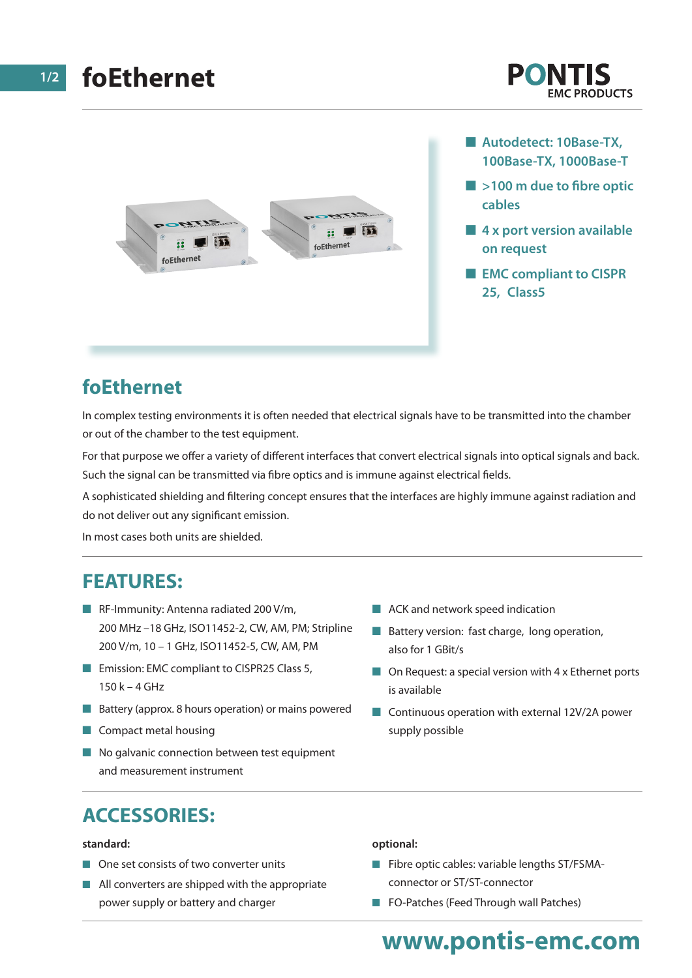





- Autodetect: 10Base-TX, **100Base-TX, 1000Base-T**
- $\blacksquare$  >100 m due to fibre optic **cables**
- **4 x port version available on request**
- $\blacksquare$  **EMC compliant to CISPR 25, Class5**

## **foEthernet**

In complex testing environments it is often needed that electrical signals have to be transmitted into the chamber or out of the chamber to the test equipment.

For that purpose we offer a variety of different interfaces that convert electrical signals into optical signals and back. Such the signal can be transmitted via fibre optics and is immune against electrical fields.

A sophisticated shielding and filtering concept ensures that the interfaces are highly immune against radiation and do not deliver out any significant emission.

In most cases both units are shielded.

### **FEATURES:**

- **n** RF-Immunity: Antenna radiated 200 V/m, 200 MHz –18 GHz, ISO11452-2, CW, AM, PM; Stripline 200 V/m, 10 – 1 GHz, ISO11452-5, CW, AM, PM
- Emission: EMC compliant to CISPR25 Class 5, 150 k – 4 GHz
- $\blacksquare$  Battery (approx. 8 hours operation) or mains powered
- $\blacksquare$  Compact metal housing
- $\blacksquare$  No galvanic connection between test equipment and measurement instrument
- $\blacksquare$  ACK and network speed indication
- $\blacksquare$  Battery version: fast charge, long operation, also for 1 GBit/s
- $\Box$  On Request: a special version with 4 x Ethernet ports is available
- $\Box$  Continuous operation with external 12V/2A power supply possible

## **ACCESSORIES:**

#### **standard:**

- $\blacksquare$  One set consists of two converter units
- $\blacksquare$  All converters are shipped with the appropriate power supply or battery and charger

#### **optional:**

- $\blacksquare$  Fibre optic cables: variable lengths ST/FSMAconnector or ST/ST-connector
- **n** FO-Patches (Feed Through wall Patches)

## **www.pontis-emc.com**